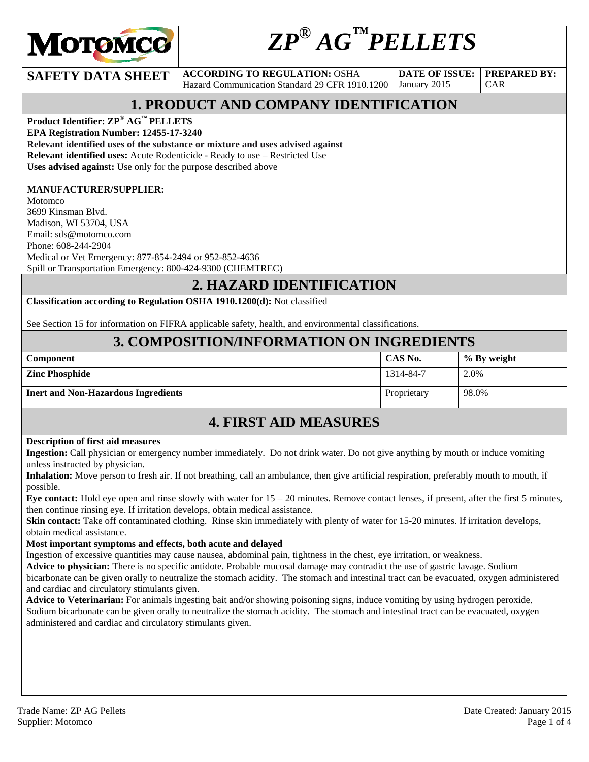

# *ZP® AG™PELLETS*

**SAFETY DATA SHEET** ACCORDING TO REGULATION: OSHA Hazard Communication Standard 29 CFR 1910.1200

**DATE OF ISSUE:**  January 2015

CAR

**PREPARED BY:** 

## **1. PRODUCT AND COMPANY IDENTIFICATION**

**Product Identifier: ZP**® **AG™ PELLETS** 

**EPA Registration Number: 12455-17-3240** 

**Relevant identified uses of the substance or mixture and uses advised against Relevant identified uses:** Acute Rodenticide - Ready to use – Restricted Use

**Uses advised against:** Use only for the purpose described above

#### **MANUFACTURER/SUPPLIER:**

Motomco 3699 Kinsman Blvd. Madison, WI 53704, USA Email: sds@motomco.com Phone: 608-244-2904 Medical or Vet Emergency: 877-854-2494 or 952-852-4636 Spill or Transportation Emergency: 800-424-9300 (CHEMTREC)

### **2. HAZARD IDENTIFICATION**

**Classification according to Regulation OSHA 1910.1200(d):** Not classified

See Section 15 for information on FIFRA applicable safety, health, and environmental classifications.

### **3. COMPOSITION/INFORMATION ON INGREDIENTS**

| <b>Component</b>                           | CAS No.     | % By weight |
|--------------------------------------------|-------------|-------------|
| <b>Zinc Phosphide</b>                      | 1314-84-7   | 2.0%        |
| <b>Inert and Non-Hazardous Ingredients</b> | Proprietary | 98.0%       |

### **4. FIRST AID MEASURES**

#### **Description of first aid measures**

**Ingestion:** Call physician or emergency number immediately. Do not drink water. Do not give anything by mouth or induce vomiting unless instructed by physician.

**Inhalation:** Move person to fresh air. If not breathing, call an ambulance, then give artificial respiration, preferably mouth to mouth, if possible.

**Eye contact:** Hold eye open and rinse slowly with water for 15 – 20 minutes. Remove contact lenses, if present, after the first 5 minutes, then continue rinsing eye. If irritation develops, obtain medical assistance.

**Skin contact:** Take off contaminated clothing. Rinse skin immediately with plenty of water for 15-20 minutes. If irritation develops, obtain medical assistance.

#### **Most important symptoms and effects, both acute and delayed**

Ingestion of excessive quantities may cause nausea, abdominal pain, tightness in the chest, eye irritation, or weakness.

**Advice to physician:** There is no specific antidote. Probable mucosal damage may contradict the use of gastric lavage. Sodium bicarbonate can be given orally to neutralize the stomach acidity. The stomach and intestinal tract can be evacuated, oxygen administered and cardiac and circulatory stimulants given.<br>**Advice to Veterinarian:** For animals ingesting bait and/or showing poisoning signs, induce vomiting by using hydrogen peroxide.

Sodium bicarbonate can be given orally to neutralize the stomach acidity. The stomach and intestinal tract can be evacuated, oxygen administered and cardiac and circulatory stimulants given.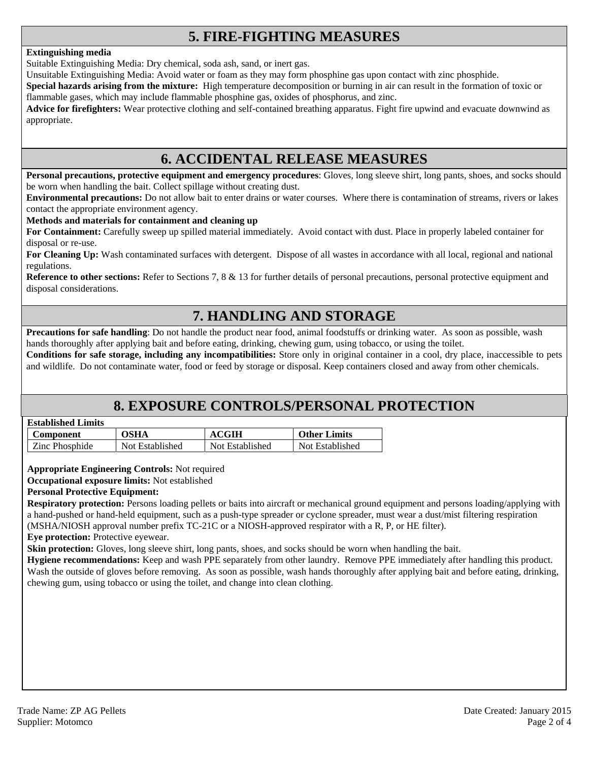### **5. FIRE-FIGHTING MEASURES**

#### **Extinguishing media**

Suitable Extinguishing Media: Dry chemical, soda ash, sand, or inert gas.

Unsuitable Extinguishing Media: Avoid water or foam as they may form phosphine gas upon contact with zinc phosphide.

**Special hazards arising from the mixture:** High temperature decomposition or burning in air can result in the formation of toxic or flammable gases, which may include flammable phosphine gas, oxides of phosphorus, and zinc.

**Advice for firefighters:** Wear protective clothing and self-contained breathing apparatus. Fight fire upwind and evacuate downwind as appropriate.

### **6. ACCIDENTAL RELEASE MEASURES**

**Personal precautions, protective equipment and emergency procedures**: Gloves, long sleeve shirt, long pants, shoes, and socks should be worn when handling the bait. Collect spillage without creating dust.

**Environmental precautions:** Do not allow bait to enter drains or water courses. Where there is contamination of streams, rivers or lakes contact the appropriate environment agency.

#### **Methods and materials for containment and cleaning up**

**For Containment:** Carefully sweep up spilled material immediately. Avoid contact with dust. Place in properly labeled container for disposal or re-use.

**For Cleaning Up:** Wash contaminated surfaces with detergent. Dispose of all wastes in accordance with all local, regional and national regulations.

**Reference to other sections:** Refer to Sections 7, 8 & 13 for further details of personal precautions, personal protective equipment and disposal considerations.

### **7. HANDLING AND STORAGE**

**Precautions for safe handling**: Do not handle the product near food, animal foodstuffs or drinking water. As soon as possible, wash hands thoroughly after applying bait and before eating, drinking, chewing gum, using tobacco, or using the toilet.

**Conditions for safe storage, including any incompatibilities:** Store only in original container in a cool, dry place, inaccessible to pets and wildlife. Do not contaminate water, food or feed by storage or disposal. Keep containers closed and away from other chemicals.

### **8. EXPOSURE CONTROLS/PERSONAL PROTECTION**

#### **Established Limits**

| Component      | OSHA            | <b>ACGIH</b>    | <b>Other Limits</b> |
|----------------|-----------------|-----------------|---------------------|
| Zinc Phosphide | Not Established | Not Established | Not Established     |

**Appropriate Engineering Controls:** Not required

**Occupational exposure limits:** Not established

#### **Personal Protective Equipment:**

**Respiratory protection:** Persons loading pellets or baits into aircraft or mechanical ground equipment and persons loading/applying with a hand-pushed or hand-held equipment, such as a push-type spreader or cyclone spreader, must wear a dust/mist filtering respiration (MSHA/NIOSH approval number prefix TC-21C or a NIOSH-approved respirator with a R, P, or HE filter).

**Eye protection:** Protective eyewear.

**Skin protection:** Gloves, long sleeve shirt, long pants, shoes, and socks should be worn when handling the bait.

**Hygiene recommendations:** Keep and wash PPE separately from other laundry. Remove PPE immediately after handling this product. Wash the outside of gloves before removing. As soon as possible, wash hands thoroughly after applying bait and before eating, drinking, chewing gum, using tobacco or using the toilet, and change into clean clothing.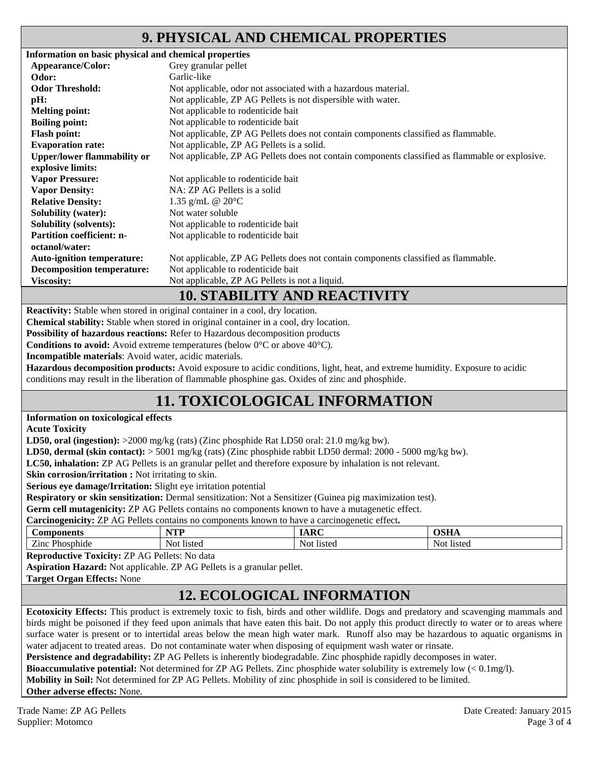### **9. PHYSICAL AND CHEMICAL PROPERTIES**

| Information on basic physical and chemical properties |                                                                                                 |
|-------------------------------------------------------|-------------------------------------------------------------------------------------------------|
| Appearance/Color:                                     | Grey granular pellet                                                                            |
| Odor:                                                 | Garlic-like                                                                                     |
| <b>Odor Threshold:</b>                                | Not applicable, odor not associated with a hazardous material.                                  |
| pH:                                                   | Not applicable, ZP AG Pellets is not dispersible with water.                                    |
| <b>Melting point:</b>                                 | Not applicable to rodenticide bait                                                              |
| <b>Boiling point:</b>                                 | Not applicable to rodenticide bait                                                              |
| <b>Flash point:</b>                                   | Not applicable, ZP AG Pellets does not contain components classified as flammable.              |
| <b>Evaporation rate:</b>                              | Not applicable, ZP AG Pellets is a solid.                                                       |
| <b>Upper/lower flammability or</b>                    | Not applicable, ZP AG Pellets does not contain components classified as flammable or explosive. |
| explosive limits:                                     |                                                                                                 |
| <b>Vapor Pressure:</b>                                | Not applicable to rodenticide bait                                                              |
| <b>Vapor Density:</b>                                 | NA: ZP AG Pellets is a solid                                                                    |
| <b>Relative Density:</b>                              | 1.35 g/mL @ $20^{\circ}$ C                                                                      |
| <b>Solubility (water):</b>                            | Not water soluble                                                                               |
| <b>Solubility (solvents):</b>                         | Not applicable to rodenticide bait                                                              |
| <b>Partition coefficient: n-</b>                      | Not applicable to rodenticide bait                                                              |
| octanol/water:                                        |                                                                                                 |
| <b>Auto-ignition temperature:</b>                     | Not applicable, ZP AG Pellets does not contain components classified as flammable.              |
| <b>Decomposition temperature:</b>                     | Not applicable to rodenticide bait                                                              |
| <b>Viscosity:</b>                                     | Not applicable, ZP AG Pellets is not a liquid.                                                  |
|                                                       | <b>10. STABILITY AND REACTIVITY</b>                                                             |

**Reactivity:** Stable when stored in original container in a cool, dry location.

**Chemical stability:** Stable when stored in original container in a cool, dry location.

**Possibility of hazardous reactions:** Refer to Hazardous decomposition products

**Conditions to avoid:** Avoid extreme temperatures (below 0°C or above 40°C).

**Incompatible materials**: Avoid water, acidic materials.

**Hazardous decomposition products:** Avoid exposure to acidic conditions, light, heat, and extreme humidity. Exposure to acidic conditions may result in the liberation of flammable phosphine gas. Oxides of zinc and phosphide.

## **11. TOXICOLOGICAL INFORMATION**

#### **Information on toxicological effects**

**Acute Toxicity** 

**LD50, oral (ingestion):** >2000 mg/kg (rats) (Zinc phosphide Rat LD50 oral: 21.0 mg/kg bw).

**LD50, dermal (skin contact):** > 5001 mg/kg (rats) (Zinc phosphide rabbit LD50 dermal: 2000 - 5000 mg/kg bw).

**LC50, inhalation:** ZP AG Pellets is an granular pellet and therefore exposure by inhalation is not relevant.

**Skin corrosion/irritation :** Not irritating to skin.

**Serious eye damage/Irritation:** Slight eye irritation potential

**Respiratory or skin sensitization:** Dermal sensitization: Not a Sensitizer (Guinea pig maximization test).

**Germ cell mutagenicity:** ZP AG Pellets contains no components known to have a mutagenetic effect.

**Carcinogenicity:** ZP AG Pellets contains no components known to have a carcinogenetic effect**.** 

| ÔИ                                                      | ATINT                | $\cdot$ Dec   | $\sim$ $\sim$ $\sim$ |
|---------------------------------------------------------|----------------------|---------------|----------------------|
| ıeme                                                    | .                    |               | ,,,,,,               |
| $\overline{\phantom{a}}$<br>$\angle$ inc<br>∩¢r<br>omue | <b>Istec</b><br>Not. | Not<br>listec | <b>listed</b><br>NO. |

**Reproductive Toxicity:** ZP AG Pellets: No data

**Aspiration Hazard:** Not applicable. ZP AG Pellets is a granular pellet.

**Target Organ Effects:** None

### **12. ECOLOGICAL INFORMATION**

**Ecotoxicity Effects:** This product is extremely toxic to fish, birds and other wildlife. Dogs and predatory and scavenging mammals and birds might be poisoned if they feed upon animals that have eaten this bait. Do not apply this product directly to water or to areas where surface water is present or to intertidal areas below the mean high water mark. Runoff also may be hazardous to aquatic organisms in water adjacent to treated areas. Do not contaminate water when disposing of equipment wash water or rinsate.

**Persistence and degradability:** ZP AG Pellets is inherently biodegradable. Zinc phosphide rapidly decomposes in water.

**Bioaccumulative potential:** Not determined for ZP AG Pellets. Zinc phosphide water solubility is extremely low (< 0.1mg/l).

**Mobility in Soil:** Not determined for ZP AG Pellets. Mobility of zinc phosphide in soil is considered to be limited.

**Other adverse effects:** None.